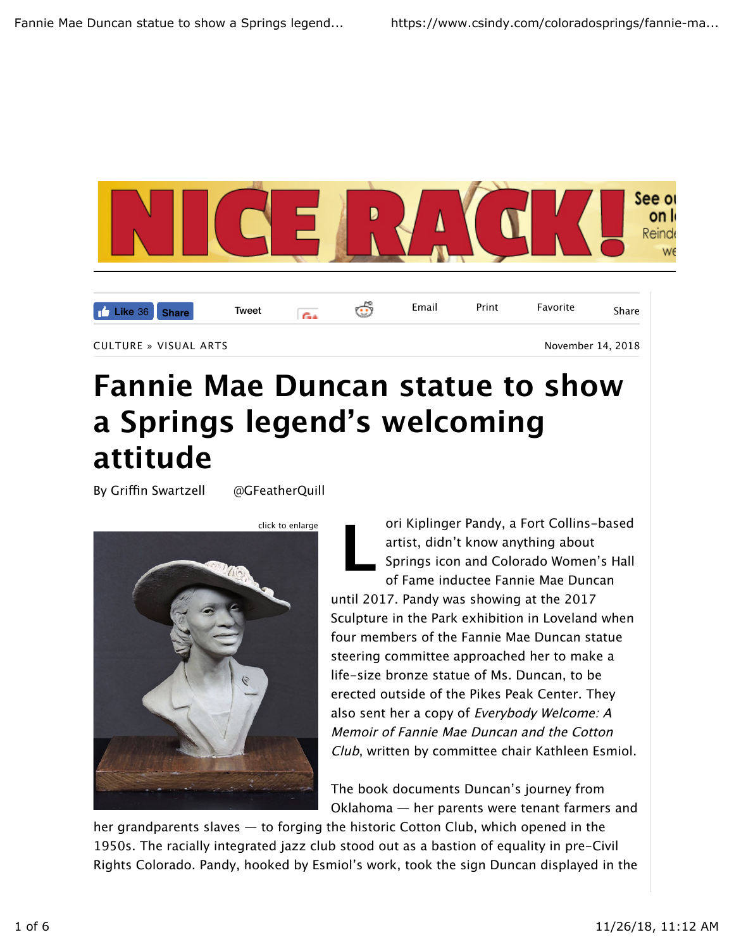

## **Fannie Mae Duncan statue to show a Springs legend's welcoming attitude**

By Griffin Swartzell @GFeatherQuill



**L** ori Kiplinger Pandy, a Fort Collins-based artist, didn't know anything about Springs icon and Colorado Women's Hall of Fame inductee Fannie Mae Duncan until 2017. Pandy was showing at the 2017 Sculpture in the Park exhibition in Loveland when four members of the Fannie Mae Duncan statue steering committee approached her to make a life-size bronze statue of Ms. Duncan, to be erected outside of the Pikes Peak Center. They also sent her a copy of Everybody Welcome: A Memoir of Fannie Mae Duncan and the Cotton Club, written by committee chair Kathleen Esmiol.

The book documents Duncan's journey from Oklahoma — her parents were tenant farmers and

her grandparents slaves — to forging the historic Cotton Club, which opened in the 1950s. The racially integrated jazz club stood out as a bastion of equality in pre-Civil Rights Colorado. Pandy, hooked by Esmiol's work, took the sign Duncan displayed in the